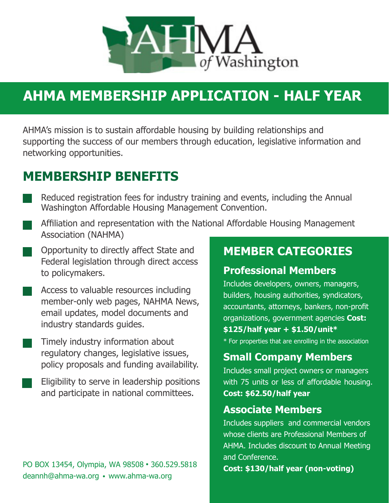

## **AHMA MEMBERSHIP APPLICATION - HALF YEAR**

AHMA's mission is to sustain affordable housing by building relationships and supporting the success of our members through education, legislative information and networking opportunities.

### **MEMBERSHIP BENEFITS**

- Reduced registration fees for industry training and events, including the Annual Washington Affordable Housing Management Convention.
- Affiliation and representation with the National Affordable Housing Management Association (NAHMA)
- Opportunity to directly affect State and Federal legislation through direct access to policymakers.
- Access to valuable resources including member-only web pages, NAHMA News, email updates, model documents and industry standards guides.
	- Timely industry information about regulatory changes, legislative issues, policy proposals and funding availability.
	- Eligibility to serve in leadership positions and participate in national committees.

#### **PO BOX 13454, Olympia, WA 98508 . 360.529.5818 <b>Cost: \$130/half year (non-voting)** deannh@ahma-wa.org • www.ahma-wa.org

### **MEMBER CATEGORIES**

#### **Professional Members**

Includes developers, owners, managers, builders, housing authorities, syndicators, accountants, attorneys, bankers, non-profit organizations, government agencies **Cost: \$125/half year + \$1.50/unit\***

\* For properties that are enrolling in the association

#### **Small Company Members**

Includes small project owners or managers with 75 units or less of affordable housing. **Cost: \$62.50/half year**

#### **Associate Members**

Includes suppliers and commercial vendors whose clients are Professional Members of AHMA. Includes discount to Annual Meeting and Conference.